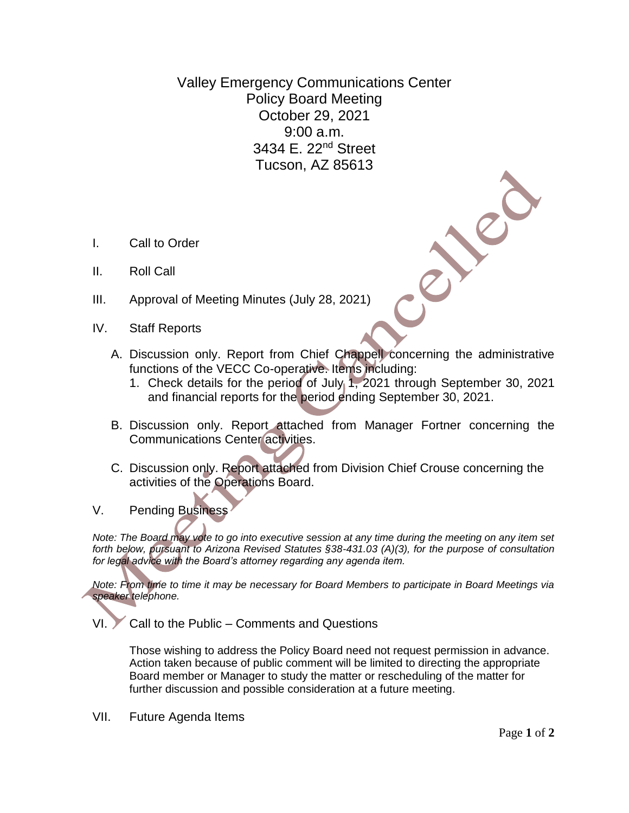Valley Emergency Communications Center Policy Board Meeting October 29, 2021 9:00 a.m. 3434 E. 22nd Street Tucson, AZ 85613

- I. Call to Order
- II. Roll Call
- III. Approval of Meeting Minutes (July 28, 2021)
- IV. Staff Reports
	- A. Discussion only. Report from Chief Chappell concerning the administrative functions of the VECC Co-operative. Items including:
		- 1. Check details for the period of July 1, 2021 through September 30, 2021 and financial reports for the period ending September 30, 2021.
	- B. Discussion only. Report attached from Manager Fortner concerning the Communications Center activities.
	- C. Discussion only. Report attached from Division Chief Crouse concerning the activities of the Operations Board.
- V. Pending Business

*Note: The Board may vote to go into executive session at any time during the meeting on any item set forth below, pursuant to Arizona Revised Statutes §38-431.03 (A)(3), for the purpose of consultation for legal advice with the Board's attorney regarding any agenda item.*

*Note: From time to time it may be necessary for Board Members to participate in Board Meetings via speaker telephone.*

VI. Call to the Public – Comments and Questions

Those wishing to address the Policy Board need not request permission in advance. Action taken because of public comment will be limited to directing the appropriate Board member or Manager to study the matter or rescheduling of the matter for further discussion and possible consideration at a future meeting.

VII. Future Agenda Items